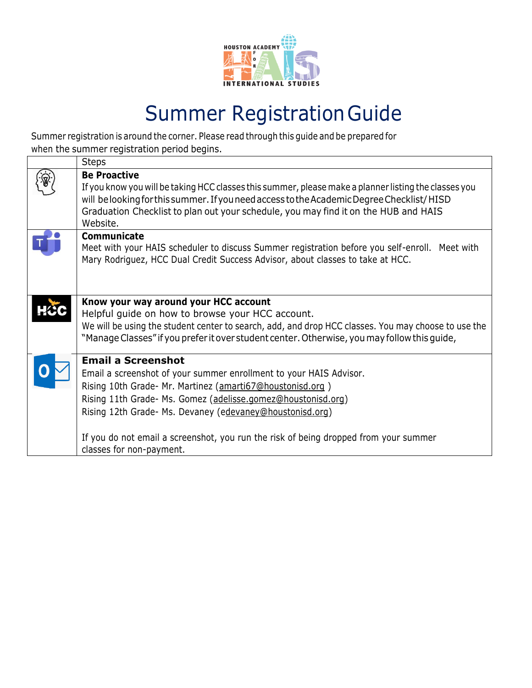

## Summer RegistrationGuide

Summer registration is around the corner. Please read through this guide and be prepared for when the summer registration period begins.

| <b>Steps</b>                                                                                                                                                                                                                                                                                                                                                                     |
|----------------------------------------------------------------------------------------------------------------------------------------------------------------------------------------------------------------------------------------------------------------------------------------------------------------------------------------------------------------------------------|
| <b>Be Proactive</b><br>If you know you will be taking HCC classes this summer, please make a planner listing the classes you<br>will be looking for this summer. If you need access to the Academic Degree Checklist/HISD<br>Graduation Checklist to plan out your schedule, you may find it on the HUB and HAIS<br>Website.                                                     |
| Communicate<br>Meet with your HAIS scheduler to discuss Summer registration before you self-enroll. Meet with<br>Mary Rodriguez, HCC Dual Credit Success Advisor, about classes to take at HCC.                                                                                                                                                                                  |
| Know your way around your HCC account<br>Helpful guide on how to browse your HCC account.<br>We will be using the student center to search, add, and drop HCC classes. You may choose to use the<br>"Manage Classes" if you prefer it over student center. Otherwise, you may follow this guide,                                                                                 |
| <b>Email a Screenshot</b><br>Email a screenshot of your summer enrollment to your HAIS Advisor.<br>Rising 10th Grade- Mr. Martinez (amarti67@houstonisd.org)<br>Rising 11th Grade- Ms. Gomez (adelisse.gomez@houstonisd.org)<br>Rising 12th Grade- Ms. Devaney (edevaney@houstonisd.org)<br>If you do not email a screenshot, you run the risk of being dropped from your summer |
| classes for non-payment.                                                                                                                                                                                                                                                                                                                                                         |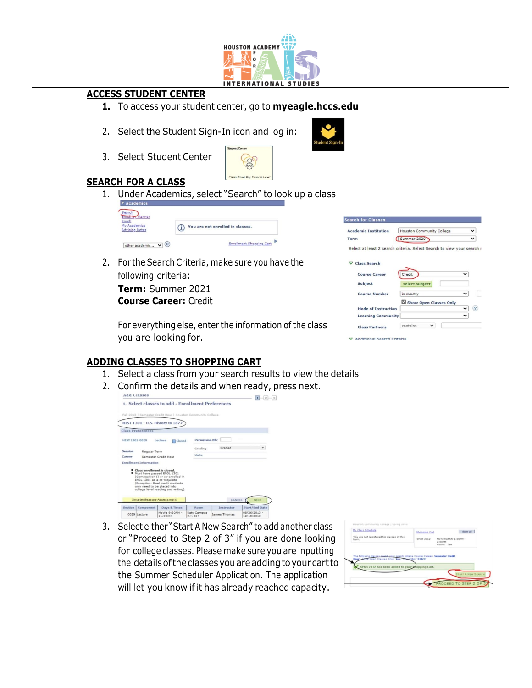